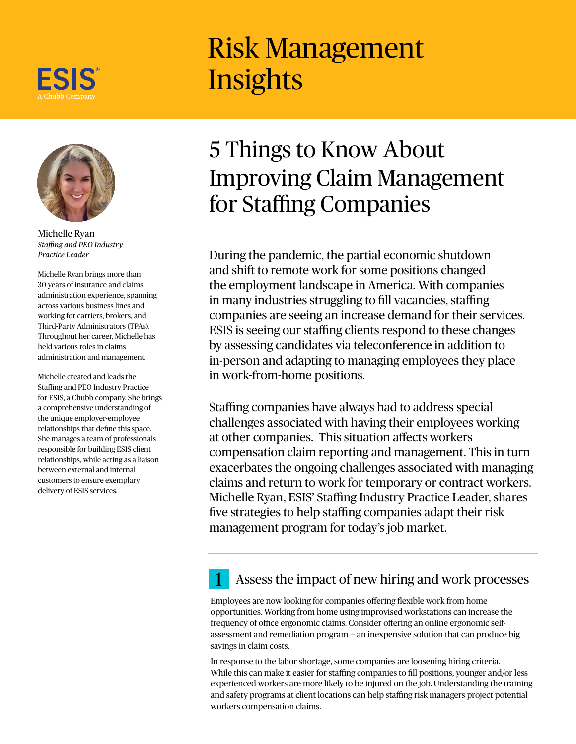

## Risk Management **Insights**



Michelle Ryan *Staffing and PEO Industry Practice Leader*

Michelle Ryan brings more than 30 years of insurance and claims administration experience, spanning across various business lines and working for carriers, brokers, and Third-Party Administrators (TPAs). Throughout her career, Michelle has held various roles in claims administration and management.

Michelle created and leads the Staffing and PEO Industry Practice for ESIS, a Chubb company. She brings a comprehensive understanding of the unique employer-employee relationships that define this space. She manages a team of professionals responsible for building ESIS client relationships, while acting as a liaison between external and internal customers to ensure exemplary delivery of ESIS services.

## 5 Things to Know About Improving Claim Management for Staffing Companies

During the pandemic, the partial economic shutdown and shift to remote work for some positions changed the employment landscape in America. With companies in many industries struggling to fill vacancies, staffing companies are seeing an increase demand for their services. ESIS is seeing our staffing clients respond to these changes by assessing candidates via teleconference in addition to in-person and adapting to managing employees they place in work-from-home positions.

Staffing companies have always had to address special challenges associated with having their employees working at other companies. This situation affects workers compensation claim reporting and management. This in turn exacerbates the ongoing challenges associated with managing claims and return to work for temporary or contract workers. Michelle Ryan, ESIS' Staffing Industry Practice Leader, shares five strategies to help staffing companies adapt their risk management program for today's job market.

### Assess the impact of new hiring and work processes

Employees are now looking for companies offering flexible work from home opportunities. Working from home using improvised workstations can increase the frequency of office ergonomic claims. Consider offering an online ergonomic selfassessment and remediation program — an inexpensive solution that can produce big savings in claim costs.

In response to the labor shortage, some companies are loosening hiring criteria. While this can make it easier for staffing companies to fill positions, younger and/or less experienced workers are more likely to be injured on the job. Understanding the training and safety programs at client locations can help staffing risk managers project potential workers compensation claims.